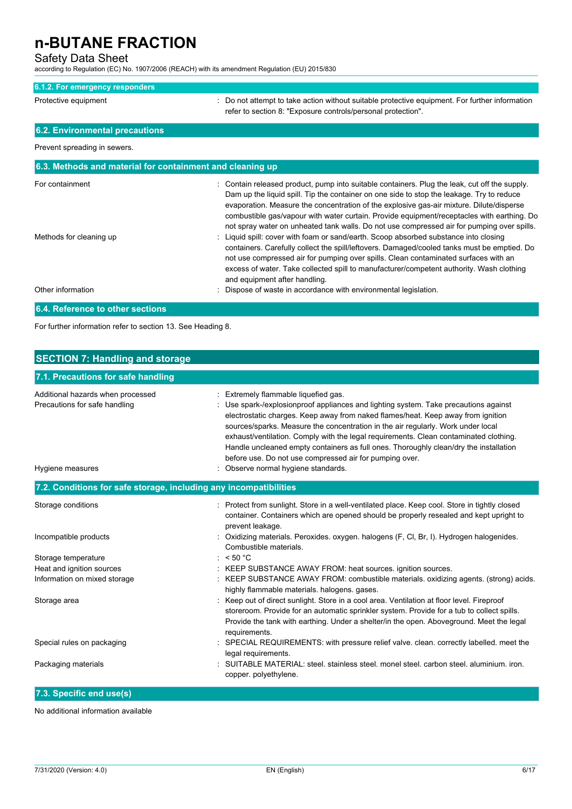### Safety Data Sheet

according to Regulation (EC) No. 1907/2006 (REACH) with its amendment Regulation (EU) 2015/830

#### **6.1.2. For emergency responders**

Protective equipment **interest and the suitable** protective equipment. For further information refer to section 8: "Exposure controls/personal protection".

## **6.2. Environmental precautions**

Prevent spreading in sewers.

| 6.3. Methods and material for containment and cleaning up |                                                                                                                                                                                                                                                                                                                                                                                                                                                                                    |
|-----------------------------------------------------------|------------------------------------------------------------------------------------------------------------------------------------------------------------------------------------------------------------------------------------------------------------------------------------------------------------------------------------------------------------------------------------------------------------------------------------------------------------------------------------|
| For containment                                           | : Contain released product, pump into suitable containers. Plug the leak, cut off the supply.<br>Dam up the liquid spill. Tip the container on one side to stop the leakage. Try to reduce<br>evaporation. Measure the concentration of the explosive gas-air mixture. Dilute/disperse<br>combustible gas/vapour with water curtain. Provide equipment/receptacles with earthing. Do<br>not spray water on unheated tank walls. Do not use compressed air for pumping over spills. |
| Methods for cleaning up                                   | : Liquid spill: cover with foam or sand/earth. Scoop absorbed substance into closing<br>containers. Carefully collect the spill/leftovers. Damaged/cooled tanks must be emptied. Do<br>not use compressed air for pumping over spills. Clean contaminated surfaces with an<br>excess of water. Take collected spill to manufacturer/competent authority. Wash clothing<br>and equipment after handling.                                                                            |
| Other information                                         | : Dispose of waste in accordance with environmental legislation.                                                                                                                                                                                                                                                                                                                                                                                                                   |
| 6.4. Reference to other sections                          |                                                                                                                                                                                                                                                                                                                                                                                                                                                                                    |

For further information refer to section 13. See Heading 8.

| <b>SECTION 7: Handling and storage</b>                             |                                                                                                                                                                                                                                                                                                                                                                                                                                                                                                                                               |  |  |
|--------------------------------------------------------------------|-----------------------------------------------------------------------------------------------------------------------------------------------------------------------------------------------------------------------------------------------------------------------------------------------------------------------------------------------------------------------------------------------------------------------------------------------------------------------------------------------------------------------------------------------|--|--|
| 7.1. Precautions for safe handling                                 |                                                                                                                                                                                                                                                                                                                                                                                                                                                                                                                                               |  |  |
| Additional hazards when processed<br>Precautions for safe handling | Extremely flammable liquefied gas.<br>Use spark-/explosionproof appliances and lighting system. Take precautions against<br>electrostatic charges. Keep away from naked flames/heat. Keep away from ignition<br>sources/sparks. Measure the concentration in the air regularly. Work under local<br>exhaust/ventilation. Comply with the legal requirements. Clean contaminated clothing.<br>Handle uncleaned empty containers as full ones. Thoroughly clean/dry the installation<br>before use. Do not use compressed air for pumping over. |  |  |
| Hygiene measures                                                   | Observe normal hygiene standards.                                                                                                                                                                                                                                                                                                                                                                                                                                                                                                             |  |  |
| 7.2. Conditions for safe storage, including any incompatibilities  |                                                                                                                                                                                                                                                                                                                                                                                                                                                                                                                                               |  |  |
| Storage conditions                                                 | : Protect from sunlight. Store in a well-ventilated place. Keep cool. Store in tightly closed<br>container. Containers which are opened should be properly resealed and kept upright to<br>prevent leakage.                                                                                                                                                                                                                                                                                                                                   |  |  |
| Incompatible products                                              | Oxidizing materials. Peroxides. oxygen. halogens (F, Cl, Br, I). Hydrogen halogenides.<br>Combustible materials.                                                                                                                                                                                                                                                                                                                                                                                                                              |  |  |
| Storage temperature                                                | : $< 50 °C$                                                                                                                                                                                                                                                                                                                                                                                                                                                                                                                                   |  |  |
| Heat and ignition sources                                          | KEEP SUBSTANCE AWAY FROM: heat sources. ignition sources.                                                                                                                                                                                                                                                                                                                                                                                                                                                                                     |  |  |
| Information on mixed storage                                       | KEEP SUBSTANCE AWAY FROM: combustible materials. oxidizing agents. (strong) acids.<br>highly flammable materials. halogens. gases.                                                                                                                                                                                                                                                                                                                                                                                                            |  |  |
| Storage area                                                       | : Keep out of direct sunlight. Store in a cool area. Ventilation at floor level. Fireproof<br>storeroom. Provide for an automatic sprinkler system. Provide for a tub to collect spills.<br>Provide the tank with earthing. Under a shelter/in the open. Aboveground. Meet the legal<br>requirements.                                                                                                                                                                                                                                         |  |  |
| Special rules on packaging                                         | SPECIAL REQUIREMENTS: with pressure relief valve. clean. correctly labelled. meet the<br>legal requirements.                                                                                                                                                                                                                                                                                                                                                                                                                                  |  |  |
| Packaging materials                                                | SUITABLE MATERIAL: steel, stainless steel, monel steel, carbon steel, aluminium, iron.<br>copper. polyethylene.                                                                                                                                                                                                                                                                                                                                                                                                                               |  |  |

## **7.3. Specific end use(s)**

No additional information available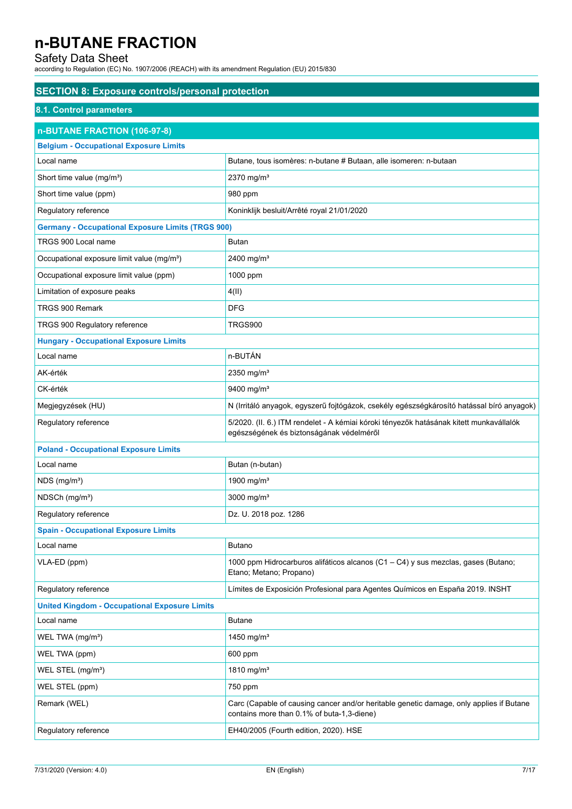## Safety Data Sheet

according to Regulation (EC) No. 1907/2006 (REACH) with its amendment Regulation (EU) 2015/830

| <b>SECTION 8: Exposure controls/personal protection</b>  |                                                                                                                                       |  |
|----------------------------------------------------------|---------------------------------------------------------------------------------------------------------------------------------------|--|
| 8.1. Control parameters                                  |                                                                                                                                       |  |
| n-BUTANE FRACTION (106-97-8)                             |                                                                                                                                       |  |
| <b>Belgium - Occupational Exposure Limits</b>            |                                                                                                                                       |  |
| Local name                                               | Butane, tous isomères: n-butane # Butaan, alle isomeren: n-butaan                                                                     |  |
| Short time value (mg/m <sup>3</sup> )                    | 2370 mg/m <sup>3</sup>                                                                                                                |  |
| Short time value (ppm)                                   | 980 ppm                                                                                                                               |  |
| Regulatory reference                                     | Koninklijk besluit/Arrêté royal 21/01/2020                                                                                            |  |
| <b>Germany - Occupational Exposure Limits (TRGS 900)</b> |                                                                                                                                       |  |
| TRGS 900 Local name                                      | Butan                                                                                                                                 |  |
| Occupational exposure limit value (mg/m <sup>3</sup> )   | 2400 mg/m <sup>3</sup>                                                                                                                |  |
| Occupational exposure limit value (ppm)                  | 1000 ppm                                                                                                                              |  |
| Limitation of exposure peaks                             | 4(11)                                                                                                                                 |  |
| TRGS 900 Remark                                          | <b>DFG</b>                                                                                                                            |  |
| TRGS 900 Regulatory reference                            | <b>TRGS900</b>                                                                                                                        |  |
| <b>Hungary - Occupational Exposure Limits</b>            |                                                                                                                                       |  |
| Local name                                               | n-BUTÁN                                                                                                                               |  |
| AK-érték                                                 | 2350 mg/m <sup>3</sup>                                                                                                                |  |
| CK-érték                                                 | 9400 mg/m <sup>3</sup>                                                                                                                |  |
| Megjegyzések (HU)                                        | N (Irritáló anyagok, egyszerű fojtógázok, csekély egészségkárosító hatással bíró anyagok)                                             |  |
| Regulatory reference                                     | 5/2020. (II. 6.) ITM rendelet - A kémiai kóroki tényezők hatásának kitett munkavállalók<br>egészségének és biztonságának védelméről   |  |
| <b>Poland - Occupational Exposure Limits</b>             |                                                                                                                                       |  |
| Local name                                               | Butan (n-butan)                                                                                                                       |  |
| $NDS$ (mg/m <sup>3</sup> )                               | 1900 mg/m <sup>3</sup>                                                                                                                |  |
| NDSCh (mg/m <sup>3</sup> )                               | 3000 mg/ $m3$                                                                                                                         |  |
| Regulatory reference                                     | Dz. U. 2018 poz. 1286                                                                                                                 |  |
| <b>Spain - Occupational Exposure Limits</b>              |                                                                                                                                       |  |
| Local name                                               | Butano                                                                                                                                |  |
| VLA-ED (ppm)                                             | 1000 ppm Hidrocarburos alifáticos alcanos (C1 - C4) y sus mezclas, gases (Butano;<br>Etano; Metano; Propano)                          |  |
| Regulatory reference                                     | Límites de Exposición Profesional para Agentes Químicos en España 2019. INSHT                                                         |  |
| <b>United Kingdom - Occupational Exposure Limits</b>     |                                                                                                                                       |  |
| Local name                                               | <b>Butane</b>                                                                                                                         |  |
| WEL TWA (mg/m <sup>3</sup> )                             | 1450 mg/m <sup>3</sup>                                                                                                                |  |
| WEL TWA (ppm)                                            | 600 ppm                                                                                                                               |  |
| WEL STEL (mg/m <sup>3</sup> )                            | 1810 mg/m <sup>3</sup>                                                                                                                |  |
| WEL STEL (ppm)                                           | 750 ppm                                                                                                                               |  |
| Remark (WEL)                                             | Carc (Capable of causing cancer and/or heritable genetic damage, only applies if Butane<br>contains more than 0.1% of buta-1,3-diene) |  |
| Regulatory reference                                     | EH40/2005 (Fourth edition, 2020). HSE                                                                                                 |  |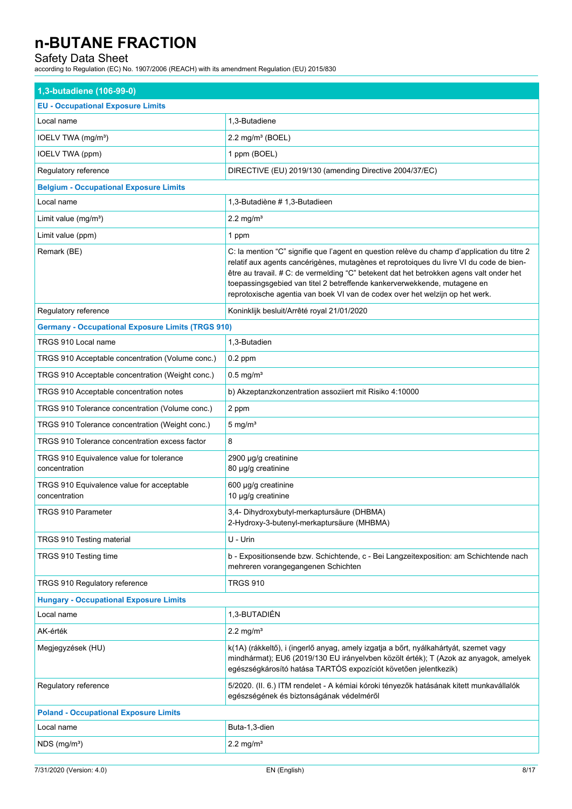## Safety Data Sheet

according to Regulation (EC) No. 1907/2006 (REACH) with its amendment Regulation (EU) 2015/830

| 1,3-butadiene (106-99-0)                                   |                                                                                                                                                                                                                                                                                                                                                                                                                                               |  |
|------------------------------------------------------------|-----------------------------------------------------------------------------------------------------------------------------------------------------------------------------------------------------------------------------------------------------------------------------------------------------------------------------------------------------------------------------------------------------------------------------------------------|--|
| <b>EU - Occupational Exposure Limits</b>                   |                                                                                                                                                                                                                                                                                                                                                                                                                                               |  |
| Local name                                                 | 1,3-Butadiene                                                                                                                                                                                                                                                                                                                                                                                                                                 |  |
| IOELV TWA (mg/m <sup>3</sup> )                             | $2.2$ mg/m <sup>3</sup> (BOEL)                                                                                                                                                                                                                                                                                                                                                                                                                |  |
| IOELV TWA (ppm)                                            | 1 ppm (BOEL)                                                                                                                                                                                                                                                                                                                                                                                                                                  |  |
| Regulatory reference                                       | DIRECTIVE (EU) 2019/130 (amending Directive 2004/37/EC)                                                                                                                                                                                                                                                                                                                                                                                       |  |
| <b>Belgium - Occupational Exposure Limits</b>              |                                                                                                                                                                                                                                                                                                                                                                                                                                               |  |
| Local name                                                 | 1,3-Butadiène # 1,3-Butadieen                                                                                                                                                                                                                                                                                                                                                                                                                 |  |
| Limit value $(mg/m3)$                                      | $2.2 \text{ mg/m}^3$                                                                                                                                                                                                                                                                                                                                                                                                                          |  |
| Limit value (ppm)                                          | 1 ppm                                                                                                                                                                                                                                                                                                                                                                                                                                         |  |
| Remark (BE)                                                | C: la mention "C" signifie que l'agent en question relève du champ d'application du titre 2<br>relatif aux agents cancérigènes, mutagènes et reprotoiques du livre VI du code de bien-<br>être au travail. # C: de vermelding "C" betekent dat het betrokken agens valt onder het<br>toepassingsgebied van titel 2 betreffende kankerverwekkende, mutagene en<br>reprotoxische agentia van boek VI van de codex over het welzijn op het werk. |  |
| Regulatory reference                                       | Koninklijk besluit/Arrêté royal 21/01/2020                                                                                                                                                                                                                                                                                                                                                                                                    |  |
| <b>Germany - Occupational Exposure Limits (TRGS 910)</b>   |                                                                                                                                                                                                                                                                                                                                                                                                                                               |  |
| TRGS 910 Local name                                        | 1,3-Butadien                                                                                                                                                                                                                                                                                                                                                                                                                                  |  |
| TRGS 910 Acceptable concentration (Volume conc.)           | $0.2$ ppm                                                                                                                                                                                                                                                                                                                                                                                                                                     |  |
| TRGS 910 Acceptable concentration (Weight conc.)           | $0.5$ mg/m <sup>3</sup>                                                                                                                                                                                                                                                                                                                                                                                                                       |  |
| TRGS 910 Acceptable concentration notes                    | b) Akzeptanzkonzentration assoziiert mit Risiko 4:10000                                                                                                                                                                                                                                                                                                                                                                                       |  |
| TRGS 910 Tolerance concentration (Volume conc.)            | 2 ppm                                                                                                                                                                                                                                                                                                                                                                                                                                         |  |
| TRGS 910 Tolerance concentration (Weight conc.)            | $5 \text{ mg/m}^3$                                                                                                                                                                                                                                                                                                                                                                                                                            |  |
| TRGS 910 Tolerance concentration excess factor             | 8                                                                                                                                                                                                                                                                                                                                                                                                                                             |  |
| TRGS 910 Equivalence value for tolerance<br>concentration  | 2900 µg/g creatinine<br>80 µg/g creatinine                                                                                                                                                                                                                                                                                                                                                                                                    |  |
| TRGS 910 Equivalence value for acceptable<br>concentration | 600 µg/g creatinine<br>10 µg/g creatinine                                                                                                                                                                                                                                                                                                                                                                                                     |  |
| TRGS 910 Parameter                                         | 3,4- Dihydroxybutyl-merkaptursäure (DHBMA)<br>2-Hydroxy-3-butenyl-merkaptursäure (MHBMA)                                                                                                                                                                                                                                                                                                                                                      |  |
| TRGS 910 Testing material                                  | U - Urin                                                                                                                                                                                                                                                                                                                                                                                                                                      |  |
| TRGS 910 Testing time                                      | b - Expositionsende bzw. Schichtende, c - Bei Langzeitexposition: am Schichtende nach<br>mehreren vorangegangenen Schichten                                                                                                                                                                                                                                                                                                                   |  |
| TRGS 910 Regulatory reference                              | <b>TRGS 910</b>                                                                                                                                                                                                                                                                                                                                                                                                                               |  |
| <b>Hungary - Occupational Exposure Limits</b>              |                                                                                                                                                                                                                                                                                                                                                                                                                                               |  |
| Local name                                                 | 1,3-BUTADIÉN                                                                                                                                                                                                                                                                                                                                                                                                                                  |  |
| AK-érték                                                   | $2.2 \text{ mg/m}^3$                                                                                                                                                                                                                                                                                                                                                                                                                          |  |
| Megjegyzések (HU)                                          | k(1A) (rákkeltő), i (ingerlő anyag, amely izgatja a bőrt, nyálkahártyát, szemet vagy<br>mindhármat); EU6 (2019/130 EU irányelvben közölt érték); T (Azok az anyagok, amelyek<br>egészségkárosító hatása TARTÓS expozíciót követően jelentkezik)                                                                                                                                                                                               |  |
| Regulatory reference                                       | 5/2020. (II. 6.) ITM rendelet - A kémiai kóroki tényezők hatásának kitett munkavállalók<br>egészségének és biztonságának védelméről                                                                                                                                                                                                                                                                                                           |  |
| <b>Poland - Occupational Exposure Limits</b>               |                                                                                                                                                                                                                                                                                                                                                                                                                                               |  |
| Local name                                                 | Buta-1,3-dien                                                                                                                                                                                                                                                                                                                                                                                                                                 |  |
| $NDS$ (mg/m <sup>3</sup> )                                 | $2.2$ mg/m <sup>3</sup>                                                                                                                                                                                                                                                                                                                                                                                                                       |  |
|                                                            |                                                                                                                                                                                                                                                                                                                                                                                                                                               |  |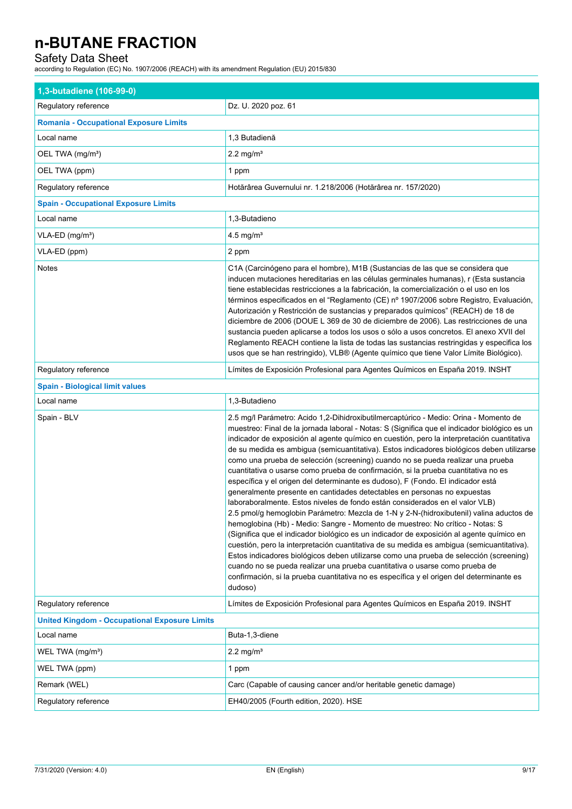## Safety Data Sheet

according to Regulation (EC) No. 1907/2006 (REACH) with its amendment Regulation (EU) 2015/830

| 1,3-butadiene (106-99-0)                             |                                                                                                                                                                                                                                                                                                                                                                                                                                                                                                                                                                                                                                                                                                                                                                                                                                                                                                                                                                                                                                                                                                                                                                                                                                                                                                                                                                                                                                                              |  |
|------------------------------------------------------|--------------------------------------------------------------------------------------------------------------------------------------------------------------------------------------------------------------------------------------------------------------------------------------------------------------------------------------------------------------------------------------------------------------------------------------------------------------------------------------------------------------------------------------------------------------------------------------------------------------------------------------------------------------------------------------------------------------------------------------------------------------------------------------------------------------------------------------------------------------------------------------------------------------------------------------------------------------------------------------------------------------------------------------------------------------------------------------------------------------------------------------------------------------------------------------------------------------------------------------------------------------------------------------------------------------------------------------------------------------------------------------------------------------------------------------------------------------|--|
| Regulatory reference                                 | Dz. U. 2020 poz. 61                                                                                                                                                                                                                                                                                                                                                                                                                                                                                                                                                                                                                                                                                                                                                                                                                                                                                                                                                                                                                                                                                                                                                                                                                                                                                                                                                                                                                                          |  |
| <b>Romania - Occupational Exposure Limits</b>        |                                                                                                                                                                                                                                                                                                                                                                                                                                                                                                                                                                                                                                                                                                                                                                                                                                                                                                                                                                                                                                                                                                                                                                                                                                                                                                                                                                                                                                                              |  |
| Local name                                           | 1,3 Butadienă                                                                                                                                                                                                                                                                                                                                                                                                                                                                                                                                                                                                                                                                                                                                                                                                                                                                                                                                                                                                                                                                                                                                                                                                                                                                                                                                                                                                                                                |  |
| OEL TWA (mg/m <sup>3</sup> )                         | $2.2 \text{ mg/m}^3$                                                                                                                                                                                                                                                                                                                                                                                                                                                                                                                                                                                                                                                                                                                                                                                                                                                                                                                                                                                                                                                                                                                                                                                                                                                                                                                                                                                                                                         |  |
| OEL TWA (ppm)                                        | 1 ppm                                                                                                                                                                                                                                                                                                                                                                                                                                                                                                                                                                                                                                                                                                                                                                                                                                                                                                                                                                                                                                                                                                                                                                                                                                                                                                                                                                                                                                                        |  |
| Regulatory reference                                 | Hotărârea Guvernului nr. 1.218/2006 (Hotărârea nr. 157/2020)                                                                                                                                                                                                                                                                                                                                                                                                                                                                                                                                                                                                                                                                                                                                                                                                                                                                                                                                                                                                                                                                                                                                                                                                                                                                                                                                                                                                 |  |
| <b>Spain - Occupational Exposure Limits</b>          |                                                                                                                                                                                                                                                                                                                                                                                                                                                                                                                                                                                                                                                                                                                                                                                                                                                                                                                                                                                                                                                                                                                                                                                                                                                                                                                                                                                                                                                              |  |
| Local name                                           | 1,3-Butadieno                                                                                                                                                                                                                                                                                                                                                                                                                                                                                                                                                                                                                                                                                                                                                                                                                                                                                                                                                                                                                                                                                                                                                                                                                                                                                                                                                                                                                                                |  |
| VLA-ED (mg/m <sup>3</sup> )                          | 4.5 mg/ $m3$                                                                                                                                                                                                                                                                                                                                                                                                                                                                                                                                                                                                                                                                                                                                                                                                                                                                                                                                                                                                                                                                                                                                                                                                                                                                                                                                                                                                                                                 |  |
| VLA-ED (ppm)                                         | 2 ppm                                                                                                                                                                                                                                                                                                                                                                                                                                                                                                                                                                                                                                                                                                                                                                                                                                                                                                                                                                                                                                                                                                                                                                                                                                                                                                                                                                                                                                                        |  |
| <b>Notes</b>                                         | C1A (Carcinógeno para el hombre), M1B (Sustancias de las que se considera que<br>inducen mutaciones hereditarias en las células germinales humanas), r (Esta sustancia<br>tiene establecidas restricciones a la fabricación, la comercialización o el uso en los<br>términos especificados en el "Reglamento (CE) nº 1907/2006 sobre Registro, Evaluación,<br>Autorización y Restricción de sustancias y preparados químicos" (REACH) de 18 de<br>diciembre de 2006 (DOUE L 369 de 30 de diciembre de 2006). Las restricciones de una<br>sustancia pueden aplicarse a todos los usos o sólo a usos concretos. El anexo XVII del<br>Reglamento REACH contiene la lista de todas las sustancias restringidas y especifica los<br>usos que se han restringido), VLB® (Agente químico que tiene Valor Límite Biológico).                                                                                                                                                                                                                                                                                                                                                                                                                                                                                                                                                                                                                                         |  |
| Regulatory reference                                 | Límites de Exposición Profesional para Agentes Químicos en España 2019. INSHT                                                                                                                                                                                                                                                                                                                                                                                                                                                                                                                                                                                                                                                                                                                                                                                                                                                                                                                                                                                                                                                                                                                                                                                                                                                                                                                                                                                |  |
| <b>Spain - Biological limit values</b>               |                                                                                                                                                                                                                                                                                                                                                                                                                                                                                                                                                                                                                                                                                                                                                                                                                                                                                                                                                                                                                                                                                                                                                                                                                                                                                                                                                                                                                                                              |  |
| Local name                                           | 1,3-Butadieno                                                                                                                                                                                                                                                                                                                                                                                                                                                                                                                                                                                                                                                                                                                                                                                                                                                                                                                                                                                                                                                                                                                                                                                                                                                                                                                                                                                                                                                |  |
| Spain - BLV                                          | 2.5 mg/l Parámetro: Acido 1,2-Dihidroxibutilmercaptúrico - Medio: Orina - Momento de<br>muestreo: Final de la jornada laboral - Notas: S (Significa que el indicador biológico es un<br>indicador de exposición al agente químico en cuestión, pero la interpretación cuantitativa<br>de su medida es ambigua (semicuantitativa). Estos indicadores biológicos deben utilizarse<br>como una prueba de selección (screening) cuando no se pueda realizar una prueba<br>cuantitativa o usarse como prueba de confirmación, si la prueba cuantitativa no es<br>específica y el origen del determinante es dudoso), F (Fondo. El indicador está<br>generalmente presente en cantidades detectables en personas no expuestas<br>laboraboralmente. Estos niveles de fondo están considerados en el valor VLB)<br>2.5 pmol/g hemoglobin Parámetro: Mezcla de 1-N y 2-N-(hidroxibutenil) valina aductos de<br>hemoglobina (Hb) - Medio: Sangre - Momento de muestreo: No crítico - Notas: S<br>(Significa que el indicador biológico es un indicador de exposición al agente guímico en<br>cuestión, pero la interpretación cuantitativa de su medida es ambigua (semicuantitativa).<br>Estos indicadores biológicos deben utilizarse como una prueba de selección (screening)<br>cuando no se pueda realizar una prueba cuantitativa o usarse como prueba de<br>confirmación, si la prueba cuantitativa no es específica y el origen del determinante es<br>dudoso) |  |
| Requlatory reference                                 | Límites de Exposición Profesional para Agentes Químicos en España 2019. INSHT                                                                                                                                                                                                                                                                                                                                                                                                                                                                                                                                                                                                                                                                                                                                                                                                                                                                                                                                                                                                                                                                                                                                                                                                                                                                                                                                                                                |  |
| <b>United Kingdom - Occupational Exposure Limits</b> |                                                                                                                                                                                                                                                                                                                                                                                                                                                                                                                                                                                                                                                                                                                                                                                                                                                                                                                                                                                                                                                                                                                                                                                                                                                                                                                                                                                                                                                              |  |
| Local name                                           | Buta-1,3-diene                                                                                                                                                                                                                                                                                                                                                                                                                                                                                                                                                                                                                                                                                                                                                                                                                                                                                                                                                                                                                                                                                                                                                                                                                                                                                                                                                                                                                                               |  |
| WEL TWA $(mg/m3)$                                    | $2.2 \text{ mg/m}^3$                                                                                                                                                                                                                                                                                                                                                                                                                                                                                                                                                                                                                                                                                                                                                                                                                                                                                                                                                                                                                                                                                                                                                                                                                                                                                                                                                                                                                                         |  |
| WEL TWA (ppm)                                        | 1 ppm                                                                                                                                                                                                                                                                                                                                                                                                                                                                                                                                                                                                                                                                                                                                                                                                                                                                                                                                                                                                                                                                                                                                                                                                                                                                                                                                                                                                                                                        |  |
| Remark (WEL)                                         | Carc (Capable of causing cancer and/or heritable genetic damage)                                                                                                                                                                                                                                                                                                                                                                                                                                                                                                                                                                                                                                                                                                                                                                                                                                                                                                                                                                                                                                                                                                                                                                                                                                                                                                                                                                                             |  |
| Regulatory reference                                 | EH40/2005 (Fourth edition, 2020). HSE                                                                                                                                                                                                                                                                                                                                                                                                                                                                                                                                                                                                                                                                                                                                                                                                                                                                                                                                                                                                                                                                                                                                                                                                                                                                                                                                                                                                                        |  |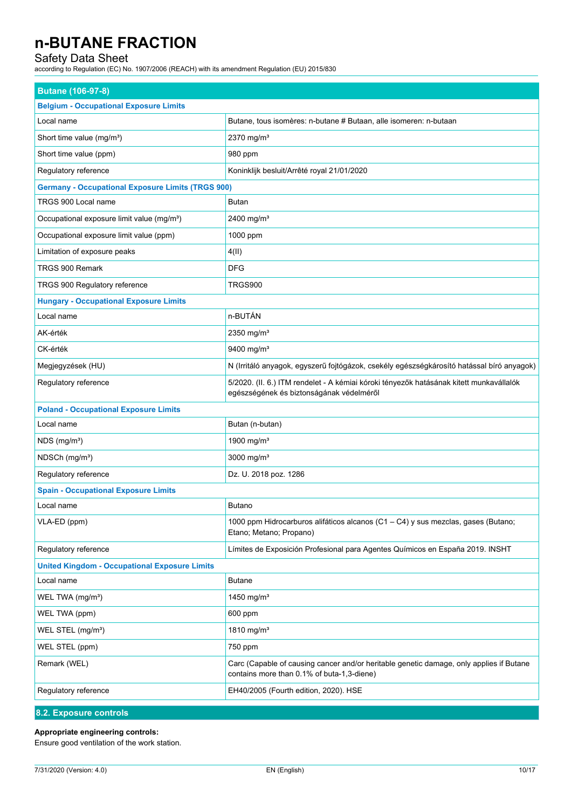## Safety Data Sheet

according to Regulation (EC) No. 1907/2006 (REACH) with its amendment Regulation (EU) 2015/830

| <b>Butane (106-97-8)</b>                                 |                                                                                                                                       |  |
|----------------------------------------------------------|---------------------------------------------------------------------------------------------------------------------------------------|--|
| <b>Belgium - Occupational Exposure Limits</b>            |                                                                                                                                       |  |
| Local name                                               | Butane, tous isomères: n-butane # Butaan, alle isomeren: n-butaan                                                                     |  |
| Short time value (mg/m <sup>3</sup> )                    | 2370 mg/m <sup>3</sup>                                                                                                                |  |
| Short time value (ppm)                                   | 980 ppm                                                                                                                               |  |
| Regulatory reference                                     | Koninklijk besluit/Arrêté royal 21/01/2020                                                                                            |  |
| <b>Germany - Occupational Exposure Limits (TRGS 900)</b> |                                                                                                                                       |  |
| TRGS 900 Local name                                      | Butan                                                                                                                                 |  |
| Occupational exposure limit value (mg/m <sup>3</sup> )   | 2400 mg/m <sup>3</sup>                                                                                                                |  |
| Occupational exposure limit value (ppm)                  | 1000 ppm                                                                                                                              |  |
| Limitation of exposure peaks                             | 4(11)                                                                                                                                 |  |
| TRGS 900 Remark                                          | <b>DFG</b>                                                                                                                            |  |
| TRGS 900 Regulatory reference                            | TRGS900                                                                                                                               |  |
| <b>Hungary - Occupational Exposure Limits</b>            |                                                                                                                                       |  |
| Local name                                               | n-BUTÁN                                                                                                                               |  |
| AK-érték                                                 | 2350 mg/m <sup>3</sup>                                                                                                                |  |
| CK-érték                                                 | 9400 mg/m <sup>3</sup>                                                                                                                |  |
| Megjegyzések (HU)                                        | N (Irritáló anyagok, egyszerű fojtógázok, csekély egészségkárosító hatással bíró anyagok)                                             |  |
| Regulatory reference                                     | 5/2020. (II. 6.) ITM rendelet - A kémiai kóroki tényezők hatásának kitett munkavállalók<br>egészségének és biztonságának védelméről   |  |
| <b>Poland - Occupational Exposure Limits</b>             |                                                                                                                                       |  |
| Local name                                               | Butan (n-butan)                                                                                                                       |  |
| $NDS$ (mg/m <sup>3</sup> )                               | 1900 mg/m <sup>3</sup>                                                                                                                |  |
| NDSCh (mg/m <sup>3</sup> )                               | 3000 mg/m <sup>3</sup>                                                                                                                |  |
| Regulatory reference                                     | Dz. U. 2018 poz. 1286                                                                                                                 |  |
| <b>Spain - Occupational Exposure Limits</b>              |                                                                                                                                       |  |
| Local name                                               | <b>Butano</b>                                                                                                                         |  |
| VLA-ED (ppm)                                             | 1000 ppm Hidrocarburos alifáticos alcanos (C1 - C4) y sus mezclas, gases (Butano;<br>Etano; Metano; Propano)                          |  |
| Regulatory reference                                     | Límites de Exposición Profesional para Agentes Químicos en España 2019. INSHT                                                         |  |
| <b>United Kingdom - Occupational Exposure Limits</b>     |                                                                                                                                       |  |
| Local name                                               | <b>Butane</b>                                                                                                                         |  |
| WEL TWA (mg/m <sup>3</sup> )                             | 1450 mg/m <sup>3</sup>                                                                                                                |  |
| WEL TWA (ppm)                                            | 600 ppm                                                                                                                               |  |
| WEL STEL (mg/m <sup>3</sup> )                            | 1810 mg/m <sup>3</sup>                                                                                                                |  |
| WEL STEL (ppm)                                           | 750 ppm                                                                                                                               |  |
| Remark (WEL)                                             | Carc (Capable of causing cancer and/or heritable genetic damage, only applies if Butane<br>contains more than 0.1% of buta-1,3-diene) |  |
| Regulatory reference                                     | EH40/2005 (Fourth edition, 2020). HSE                                                                                                 |  |
| 8.2. Exposure controls                                   |                                                                                                                                       |  |

### **Appropriate engineering controls:**

Ensure good ventilation of the work station.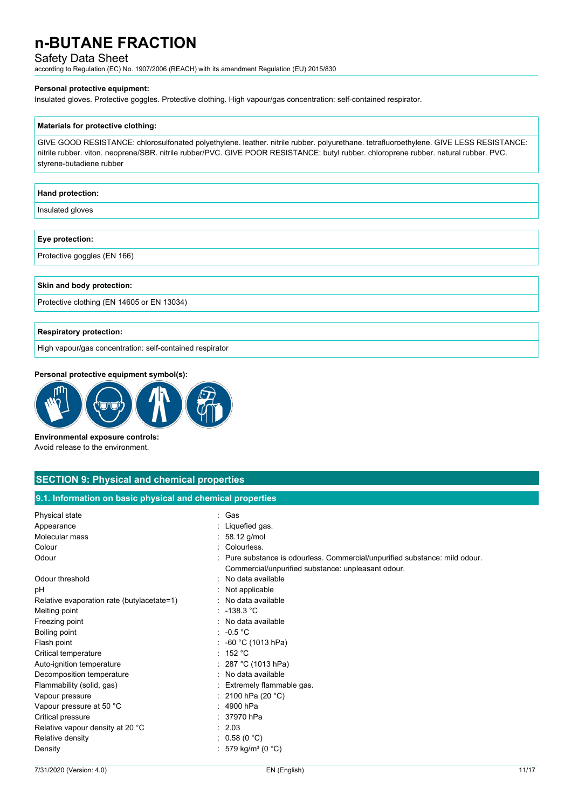### Safety Data Sheet

according to Regulation (EC) No. 1907/2006 (REACH) with its amendment Regulation (EU) 2015/830

#### **Personal protective equipment:**

Insulated gloves. Protective goggles. Protective clothing. High vapour/gas concentration: self-contained respirator.

#### **Materials for protective clothing:**

GIVE GOOD RESISTANCE: chlorosulfonated polyethylene. leather. nitrile rubber. polyurethane. tetrafluoroethylene. GIVE LESS RESISTANCE: nitrile rubber. viton. neoprene/SBR. nitrile rubber/PVC. GIVE POOR RESISTANCE: butyl rubber. chloroprene rubber. natural rubber. PVC. styrene-butadiene rubber

## **Hand protection:**

Insulated gloves

#### **Eye protection:**

Protective goggles (EN 166)

#### **Skin and body protection:**

Protective clothing (EN 14605 or EN 13034)

#### **Respiratory protection:**

High vapour/gas concentration: self-contained respirator

#### **Personal protective equipment symbol(s):**



**Environmental exposure controls:** Avoid release to the environment.

## **SECTION 9: Physical and chemical properties**

**9.1. Information on basic physical and chemical properties**

| Physical state                             | : Gas                                                                       |
|--------------------------------------------|-----------------------------------------------------------------------------|
| Appearance                                 | : Liquefied gas.                                                            |
| Molecular mass                             | : $58.12$ g/mol                                                             |
| Colour                                     | : Colourless.                                                               |
| Odour                                      | : Pure substance is odourless. Commercial/unpurified substance: mild odour. |
|                                            | Commercial/unpurified substance: unpleasant odour.                          |
| Odour threshold                            | : No data available                                                         |
| рH                                         | : Not applicable                                                            |
| Relative evaporation rate (butylacetate=1) | : No data available                                                         |
| Melting point                              | : $-138.3^{\circ}$ C                                                        |
| Freezing point                             | : No data available                                                         |
| Boiling point                              | $: -0.5 °C$                                                                 |
| Flash point                                | : -60 °C (1013 hPa)                                                         |
| Critical temperature                       | : 152 °C                                                                    |
| Auto-ignition temperature                  | : 287 °C (1013 hPa)                                                         |
| Decomposition temperature                  | : No data available                                                         |
| Flammability (solid, gas)                  | : Extremely flammable gas.                                                  |
| Vapour pressure                            | : 2100 hPa (20 $^{\circ}$ C)                                                |
| Vapour pressure at 50 °C                   | $: 4900$ hPa                                                                |
| Critical pressure                          | : 37970 hPa                                                                 |
| Relative vapour density at 20 °C           | : 2.03                                                                      |
| Relative density                           | : $0.58(0 °C)$                                                              |
| Density                                    | : 579 kg/m <sup>3</sup> (0 °C)                                              |
|                                            |                                                                             |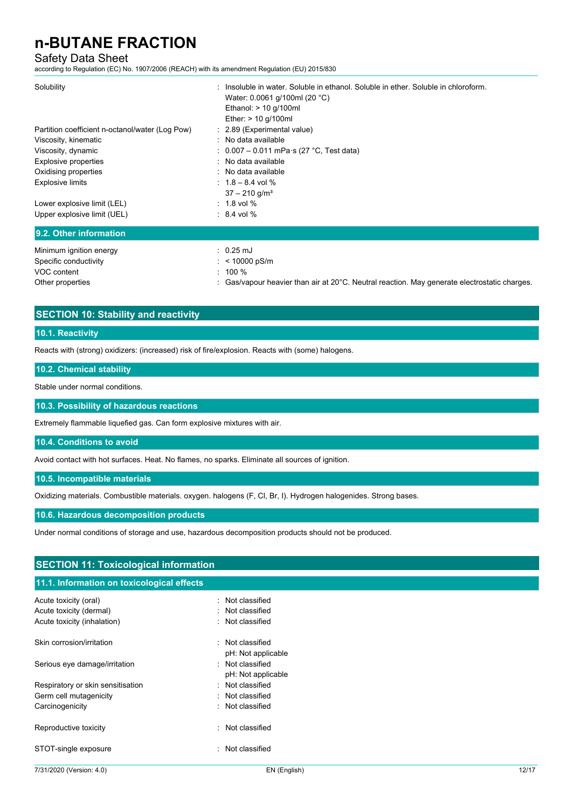### Safety Data Sheet

according to Regulation (EC) No. 1907/2006 (REACH) with its amendment Regulation (EU) 2015/830

| Solubility                                      | : Insoluble in water. Soluble in ethanol. Soluble in ether. Soluble in chloroform.<br>Water: 0.0061 g/100ml (20 °C)<br>Ethanol: $> 10$ g/100ml<br>Ether: $> 10$ g/100ml |
|-------------------------------------------------|-------------------------------------------------------------------------------------------------------------------------------------------------------------------------|
| Partition coefficient n-octanol/water (Log Pow) | : 2.89 (Experimental value)                                                                                                                                             |
| Viscosity, kinematic                            | : No data available                                                                                                                                                     |
| Viscosity, dynamic                              | : $0.007 - 0.011$ mPa $\cdot$ s (27 °C, Test data)                                                                                                                      |
| Explosive properties                            | : No data available                                                                                                                                                     |
| Oxidising properties                            | : No data available                                                                                                                                                     |
| <b>Explosive limits</b>                         | : $1.8 - 8.4$ vol %<br>$37 - 210$ g/m <sup>3</sup>                                                                                                                      |
| Lower explosive limit (LEL)                     | $: 1.8$ vol $%$                                                                                                                                                         |
| Upper explosive limit (UEL)                     | $: 8.4$ vol %                                                                                                                                                           |
| 9.2. Other information                          |                                                                                                                                                                         |
| Minimum ignition energy                         | $: 0.25 \text{ mJ}$                                                                                                                                                     |
| Specific conductivity                           | : < 10000 pS/m                                                                                                                                                          |
| VOC content                                     | $: 100 \%$                                                                                                                                                              |

Other properties **interval of the Cas-** Cas/vapour heavier than air at 20°C. Neutral reaction. May generate electrostatic charges.

## **SECTION 10: Stability and reactivity**

### **10.1. Reactivity**

Reacts with (strong) oxidizers: (increased) risk of fire/explosion. Reacts with (some) halogens.

#### **10.2. Chemical stability**

Stable under normal conditions.

**10.3. Possibility of hazardous reactions**

Extremely flammable liquefied gas. Can form explosive mixtures with air.

#### **10.4. Conditions to avoid**

Avoid contact with hot surfaces. Heat. No flames, no sparks. Eliminate all sources of ignition.

#### **10.5. Incompatible materials**

Oxidizing materials. Combustible materials. oxygen. halogens (F, Cl, Br, I). Hydrogen halogenides. Strong bases.

#### **10.6. Hazardous decomposition products**

Under normal conditions of storage and use, hazardous decomposition products should not be produced.

## **SECTION 11: Toxicological information**

### **11.1. Information on toxicological effects**

| Acute toxicity (oral)<br>Acute toxicity (dermal)<br>Acute toxicity (inhalation) | : Not classified<br>Not classified<br>: Not classified |
|---------------------------------------------------------------------------------|--------------------------------------------------------|
| Skin corrosion/irritation                                                       | : Not classified                                       |
| Serious eye damage/irritation                                                   | pH: Not applicable<br>: Not classified                 |
| Respiratory or skin sensitisation                                               | pH: Not applicable<br>: Not classified                 |
| Germ cell mutagenicity<br>Carcinogenicity                                       | Not classified<br>: Not classified                     |
| Reproductive toxicity                                                           | Not classified                                         |
| STOT-single exposure                                                            | $\cdot$ Not classified                                 |
|                                                                                 |                                                        |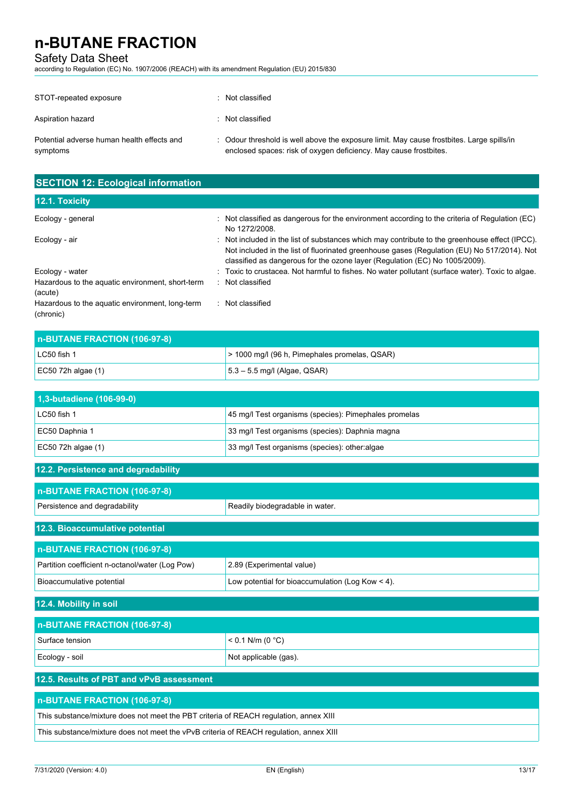## Safety Data Sheet

according to Regulation (EC) No. 1907/2006 (REACH) with its amendment Regulation (EU) 2015/830

| STOT-repeated exposure                                 | Not classified                                                                                                                                                 |
|--------------------------------------------------------|----------------------------------------------------------------------------------------------------------------------------------------------------------------|
| Aspiration hazard                                      | : Not classified                                                                                                                                               |
| Potential adverse human health effects and<br>symptoms | : Odour threshold is well above the exposure limit. May cause frostbites. Large spills/in<br>enclosed spaces: risk of oxygen deficiency. May cause frostbites. |

| <b>SECTION 12: Ecological information</b>                    |                                                                                                                                                                                                                                                                              |  |
|--------------------------------------------------------------|------------------------------------------------------------------------------------------------------------------------------------------------------------------------------------------------------------------------------------------------------------------------------|--|
| 12.1. Toxicity                                               |                                                                                                                                                                                                                                                                              |  |
| Ecology - general                                            | $\therefore$ Not classified as dangerous for the environment according to the criteria of Regulation (EC)<br>No 1272/2008.                                                                                                                                                   |  |
| Ecology - air                                                | : Not included in the list of substances which may contribute to the greenhouse effect (IPCC).<br>Not included in the list of fluorinated greenhouse gases (Regulation (EU) No 517/2014). Not<br>classified as dangerous for the ozone layer (Regulation (EC) No 1005/2009). |  |
| Ecology - water                                              | : Toxic to crustacea. Not harmful to fishes. No water pollutant (surface water). Toxic to algae.                                                                                                                                                                             |  |
| Hazardous to the aquatic environment, short-term<br>(acute)  | : Not classified                                                                                                                                                                                                                                                             |  |
| Hazardous to the aquatic environment, long-term<br>(chronic) | Not classified                                                                                                                                                                                                                                                               |  |

| n-BUTANE FRACTION (106-97-8) |                                               |  |
|------------------------------|-----------------------------------------------|--|
| LC50 fish 1                  | > 1000 mg/l (96 h, Pimephales promelas, QSAR) |  |
| EC50 72h algae $(1)$         | $5.3 - 5.5$ mg/l (Algae, QSAR)                |  |

| 1,3-butadiene (106-99-0) |                                                       |
|--------------------------|-------------------------------------------------------|
| LC50 fish 1              | 45 mg/l Test organisms (species): Pimephales promelas |
| EC50 Daphnia 1           | 33 mg/l Test organisms (species): Daphnia magna       |
| $EC50$ 72h algae (1)     | 33 mg/l Test organisms (species): other:algae         |

| 12.2. Persistence and degradability             |                                                       |  |
|-------------------------------------------------|-------------------------------------------------------|--|
| n-BUTANE FRACTION (106-97-8)                    |                                                       |  |
| Persistence and degradability                   | Readily biodegradable in water.                       |  |
| 12.3. Bioaccumulative potential                 |                                                       |  |
| n-BUTANE FRACTION (106-97-8)                    |                                                       |  |
| Partition coefficient n-octanol/water (Log Pow) | 2.89 (Experimental value)                             |  |
| Bioaccumulative potential                       | Low potential for bioaccumulation (Log Kow $\leq$ 4). |  |
| 12.4. Mobility in soil                          |                                                       |  |
| n-BUTANE FRACTION (106-97-8)                    |                                                       |  |
| Surface tension                                 | $< 0.1$ N/m (0 °C)                                    |  |
| Ecology - soil                                  | Not applicable (gas).                                 |  |
| 12 E. Dooulto of DPT and vDvP accessment        |                                                       |  |

## **12.5. Results of PBT and vPvB assessment n-BUTANE FRACTION (106-97-8)** This substance/mixture does not meet the PBT criteria of REACH regulation, annex XIII This substance/mixture does not meet the vPvB criteria of REACH regulation, annex XIII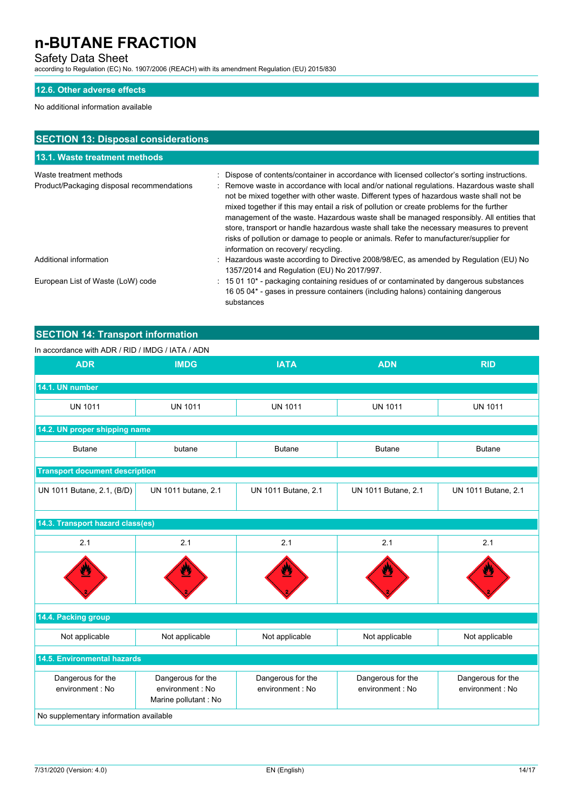## Safety Data Sheet

according to Regulation (EC) No. 1907/2006 (REACH) with its amendment Regulation (EU) 2015/830

### **12.6. Other adverse effects**

### No additional information available

| <b>SECTION 13: Disposal considerations</b>                            |                                                                                                                                                                                                                                                                                                                                                                                                                                                                                                                                                                                                                                                                                                           |  |  |
|-----------------------------------------------------------------------|-----------------------------------------------------------------------------------------------------------------------------------------------------------------------------------------------------------------------------------------------------------------------------------------------------------------------------------------------------------------------------------------------------------------------------------------------------------------------------------------------------------------------------------------------------------------------------------------------------------------------------------------------------------------------------------------------------------|--|--|
| 13.1. Waste treatment methods                                         |                                                                                                                                                                                                                                                                                                                                                                                                                                                                                                                                                                                                                                                                                                           |  |  |
| Waste treatment methods<br>Product/Packaging disposal recommendations | : Dispose of contents/container in accordance with licensed collector's sorting instructions.<br>: Remove waste in accordance with local and/or national regulations. Hazardous waste shall<br>not be mixed together with other waste. Different types of hazardous waste shall not be<br>mixed together if this may entail a risk of pollution or create problems for the further<br>management of the waste. Hazardous waste shall be managed responsibly. All entities that<br>store, transport or handle hazardous waste shall take the necessary measures to prevent<br>risks of pollution or damage to people or animals. Refer to manufacturer/supplier for<br>information on recovery/ recycling. |  |  |
| Additional information                                                | : Hazardous waste according to Directive 2008/98/EC, as amended by Regulation (EU) No<br>1357/2014 and Regulation (EU) No 2017/997.                                                                                                                                                                                                                                                                                                                                                                                                                                                                                                                                                                       |  |  |
| European List of Waste (LoW) code                                     | : 15 01 10 <sup>*</sup> - packaging containing residues of or contaminated by dangerous substances<br>16 05 04* - gases in pressure containers (including halons) containing dangerous<br>substances                                                                                                                                                                                                                                                                                                                                                                                                                                                                                                      |  |  |

## **SECTION 14: Transport information**

#### In accordance with ADR / RID / IMDG / IATA / ADN

| <b>ADR</b>                             | <b>IMDG</b>                                                   | <b>IATA</b>                          | <b>ADN</b>                            | <b>RID</b>                            |
|----------------------------------------|---------------------------------------------------------------|--------------------------------------|---------------------------------------|---------------------------------------|
| 14.1. UN number                        |                                                               |                                      |                                       |                                       |
| <b>UN 1011</b>                         | <b>UN 1011</b>                                                | <b>UN 1011</b>                       | <b>UN 1011</b>                        | <b>UN 1011</b>                        |
| 14.2. UN proper shipping name          |                                                               |                                      |                                       |                                       |
| <b>Butane</b>                          | butane                                                        | <b>Butane</b>                        | <b>Butane</b>                         | <b>Butane</b>                         |
| <b>Transport document description</b>  |                                                               |                                      |                                       |                                       |
| UN 1011 Butane, 2.1, (B/D)             | UN 1011 butane, 2.1                                           | UN 1011 Butane, 2.1                  | UN 1011 Butane, 2.1                   | UN 1011 Butane, 2.1                   |
|                                        | 14.3. Transport hazard class(es)                              |                                      |                                       |                                       |
| 2.1                                    | 2.1                                                           | 2.1                                  | 2.1                                   | 2.1                                   |
|                                        |                                                               |                                      |                                       |                                       |
| 14.4. Packing group                    |                                                               |                                      |                                       |                                       |
| Not applicable                         | Not applicable                                                | Not applicable                       | Not applicable                        | Not applicable                        |
| 14.5. Environmental hazards            |                                                               |                                      |                                       |                                       |
| Dangerous for the<br>environment: No   | Dangerous for the<br>environment : No<br>Marine pollutant: No | Dangerous for the<br>environment: No | Dangerous for the<br>environment : No | Dangerous for the<br>environment : No |
| No supplementary information available |                                                               |                                      |                                       |                                       |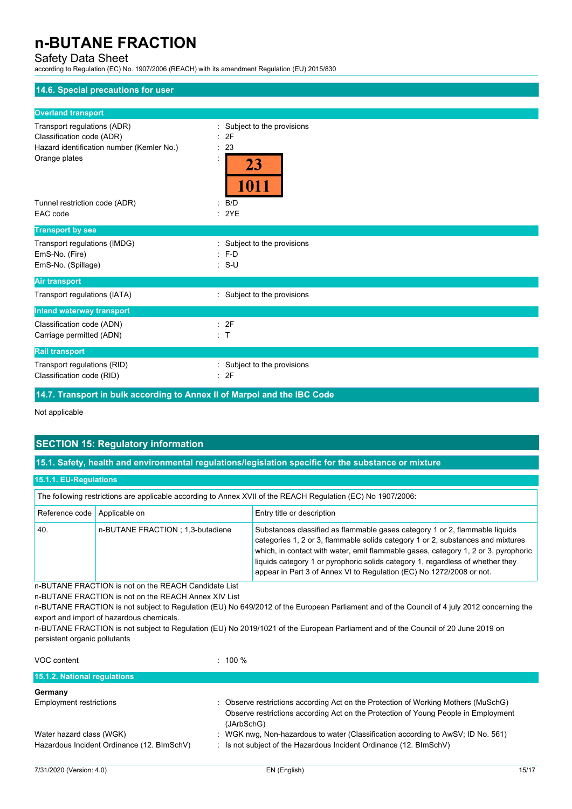## Safety Data Sheet

according to Regulation (EC) No. 1907/2006 (REACH) with its amendment Regulation (EU) 2015/830

| 14.6. Special precautions for user        |                             |
|-------------------------------------------|-----------------------------|
| <b>Overland transport</b>                 |                             |
| Transport regulations (ADR)               | Subject to the provisions   |
| Classification code (ADR)                 | : 2F                        |
| Hazard identification number (Kemler No.) | 23                          |
| Orange plates                             | ÷<br>23<br>1011             |
| Tunnel restriction code (ADR)             | B/D<br>۰.                   |
| EAC code                                  | : 2YE                       |
| <b>Transport by sea</b>                   |                             |
| Transport regulations (IMDG)              | : Subject to the provisions |
| EmS-No. (Fire)                            | $: F-D$                     |
| EmS-No. (Spillage)                        | $: S-U$                     |
| <b>Air transport</b>                      |                             |
| Transport regulations (IATA)              | : Subject to the provisions |
| <b>Inland waterway transport</b>          |                             |
| Classification code (ADN)                 | : 2F                        |
| Carriage permitted (ADN)                  | : T                         |
| <b>Rail transport</b>                     |                             |
| Transport regulations (RID)               | : Subject to the provisions |
| Classification code (RID)                 | : 2F                        |
|                                           |                             |

**14.7. Transport in bulk according to Annex II of Marpol and the IBC Code**

Not applicable

## **SECTION 15: Regulatory information**

**15.1. Safety, health and environmental regulations/legislation specific for the substance or mixture**

### **15.1.1. EU-Regulations**

| The following restrictions are applicable according to Annex XVII of the REACH Regulation (EC) No 1907/2006: |                                   |                                                                                                                                                                                                                                                                                                                                                                                                                |
|--------------------------------------------------------------------------------------------------------------|-----------------------------------|----------------------------------------------------------------------------------------------------------------------------------------------------------------------------------------------------------------------------------------------------------------------------------------------------------------------------------------------------------------------------------------------------------------|
| Reference code Applicable on                                                                                 |                                   | Entry title or description                                                                                                                                                                                                                                                                                                                                                                                     |
| 40.                                                                                                          | n-BUTANE FRACTION : 1,3-butadiene | Substances classified as flammable gases category 1 or 2, flammable liquids<br>categories 1, 2 or 3, flammable solids category 1 or 2, substances and mixtures<br>which, in contact with water, emit flammable gases, category 1, 2 or 3, pyrophoric<br>liquids category 1 or pyrophoric solids category 1, regardless of whether they<br>appear in Part 3 of Annex VI to Regulation (EC) No 1272/2008 or not. |

n-BUTANE FRACTION is not on the REACH Candidate List

n-BUTANE FRACTION is not on the REACH Annex XIV List

n-BUTANE FRACTION is not subject to Regulation (EU) No 649/2012 of the European Parliament and of the Council of 4 july 2012 concerning the export and import of hazardous chemicals.

n-BUTANE FRACTION is not subject to Regulation (EU) No 2019/1021 of the European Parliament and of the Council of 20 June 2019 on persistent organic pollutants

VOC content : 100 %

| 15.1.2. National regulations               |                                                                                                  |
|--------------------------------------------|--------------------------------------------------------------------------------------------------|
| Germany                                    |                                                                                                  |
| <b>Employment restrictions</b>             | Observe restrictions according Act on the Protection of Working Mothers (MuSchG)                 |
|                                            | Observe restrictions according Act on the Protection of Young People in Employment<br>(JArbSchG) |
| Water hazard class (WGK)                   | WGK nwg, Non-hazardous to water (Classification according to AwSV; ID No. 561)                   |
| Hazardous Incident Ordinance (12. BImSchV) | Is not subject of the Hazardous Incident Ordinance (12. BImSchV)                                 |
|                                            |                                                                                                  |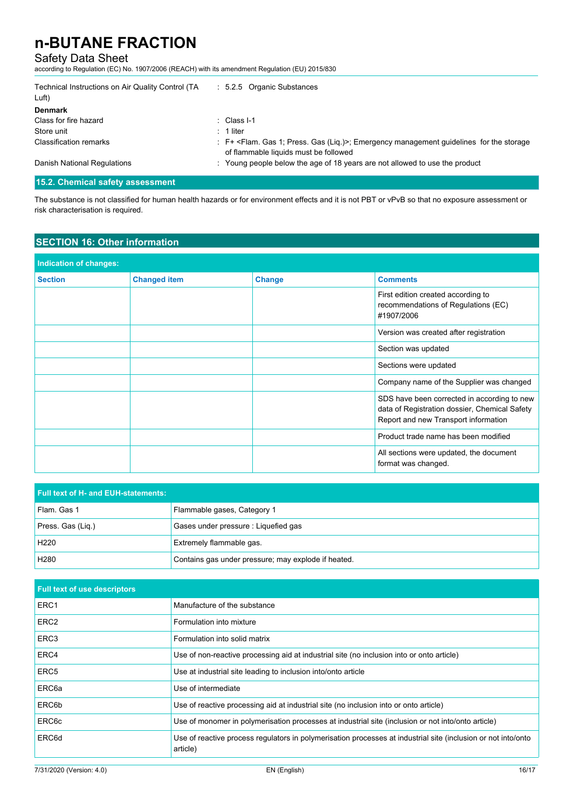## Safety Data Sheet

according to Regulation (EC) No. 1907/2006 (REACH) with its amendment Regulation (EU) 2015/830

| Technical Instructions on Air Quality Control (TA<br>Luft) | : 5.2.5 Organic Substances                                                                                                                       |
|------------------------------------------------------------|--------------------------------------------------------------------------------------------------------------------------------------------------|
| <b>Denmark</b>                                             |                                                                                                                                                  |
| Class for fire hazard                                      | $\therefore$ Class I-1                                                                                                                           |
| Store unit                                                 | $: 1$ liter                                                                                                                                      |
| <b>Classification remarks</b>                              | : F+ <flam. (liq.)="" 1;="" gas="" press.="">; Emergency management guidelines for the storage<br/>of flammable liquids must be followed</flam.> |
| Danish National Regulations                                | : Young people below the age of 18 years are not allowed to use the product                                                                      |

### **15.2. Chemical safety assessment**

The substance is not classified for human health hazards or for environment effects and it is not PBT or vPvB so that no exposure assessment or risk characterisation is required.

## **SECTION 16: Other information**

| <b>Indication of changes:</b> |                |                   |                                                                                                                                      |
|-------------------------------|----------------|-------------------|--------------------------------------------------------------------------------------------------------------------------------------|
| <b>Version</b>                | Date of change | <b>Section</b>    | <b>Comments</b>                                                                                                                      |
| 1.0                           | 16/03/2010     | All               | recommendations of Regulations (EC)<br>#1907/2006                                                                                    |
| 2.0                           | 25/10/2010     | All               | Version was created after registration                                                                                               |
| 2.1                           | 07/02/2011     | 81                | Section was updated                                                                                                                  |
| 2.2                           | 02/10/2014     | $2 - 16$          | Sections were updated                                                                                                                |
| 2.3                           | 17/05/2016     | <b>Title, 1.3</b> | Company name of the Supplier was changed                                                                                             |
| 3.0                           | 21/01/2019     | 1-16, Annex       | SDS have been corrected in according to new<br>data of Registration dossier, Chemical Safety<br>Report and new Transport information |
| 3.1                           | 07/02/2020     | <b>Title, 1.1</b> | Product trade name has been modified                                                                                                 |
| 4.0                           | 31/07/2020     | All               | All sections were updated, the document<br>format was changed.                                                                       |
| 4.1                           | 21/12/2020     | 1.3, 1.4          | Company name of the Supplier was changed                                                                                             |

| <b>Full text of H- and EUH-statements:</b> |                                                                                                                           |  |
|--------------------------------------------|---------------------------------------------------------------------------------------------------------------------------|--|
| Flam. Gas 1                                | Flammable gases, Category 1                                                                                               |  |
| Press. Gas (Liq.)                          | Gases under pressure : Liquefied gas                                                                                      |  |
| H <sub>220</sub>                           | Extremely flammable gas.                                                                                                  |  |
| H <sub>280</sub>                           | Contains gas under pressure; may explode if heated.                                                                       |  |
| <b>Full text of use descriptors</b>        |                                                                                                                           |  |
| ERC1                                       | Manufacture of the substance                                                                                              |  |
| ERC <sub>2</sub>                           | Formulation into mixture                                                                                                  |  |
| ERC <sub>3</sub>                           | Formulation into solid matrix                                                                                             |  |
| ERC4                                       | Use of non-reactive processing aid at industrial site (no inclusion into or onto article)                                 |  |
| ERC <sub>5</sub>                           | Use at industrial site leading to inclusion into/onto article                                                             |  |
| ERC <sub>6a</sub>                          | Use of intermediate                                                                                                       |  |
| ERC6b                                      | Use of reactive processing aid at industrial site (no inclusion into or onto article)                                     |  |
| ERC <sub>6</sub> c                         | Use of monomer in polymerisation processes at industrial site (inclusion or not into/onto article)                        |  |
| ERC6d                                      | Use of reactive process regulators in polymerisation processes at industrial site (inclusion or not into/onto<br>article) |  |